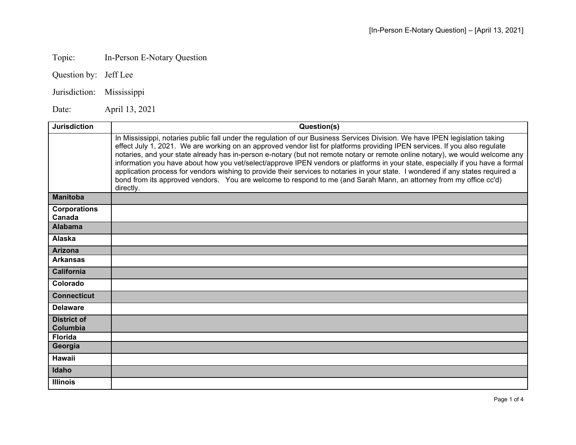## Topic: In-Person E-Notary Question

Question by: Jeff Lee

Jurisdiction: Mississippi

Date: April 13, 2021

| <b>Jurisdiction</b>            | Question(s)                                                                                                                                                                                                                                                                                                                                                                                                                                                                                                                                                                                                                                                                                                                                                                                          |
|--------------------------------|------------------------------------------------------------------------------------------------------------------------------------------------------------------------------------------------------------------------------------------------------------------------------------------------------------------------------------------------------------------------------------------------------------------------------------------------------------------------------------------------------------------------------------------------------------------------------------------------------------------------------------------------------------------------------------------------------------------------------------------------------------------------------------------------------|
|                                | In Mississippi, notaries public fall under the regulation of our Business Services Division. We have IPEN legislation taking<br>effect July 1, 2021. We are working on an approved vendor list for platforms providing IPEN services. If you also regulate<br>notaries, and your state already has in-person e-notary (but not remote notary or remote online notary), we would welcome any<br>information you have about how you vet/select/approve IPEN vendors or platforms in your state, especially if you have a formal<br>application process for vendors wishing to provide their services to notaries in your state. I wondered if any states required a<br>bond from its approved vendors. You are welcome to respond to me (and Sarah Mann, an attorney from my office cc'd)<br>directly. |
| <b>Manitoba</b>                |                                                                                                                                                                                                                                                                                                                                                                                                                                                                                                                                                                                                                                                                                                                                                                                                      |
| <b>Corporations</b><br>Canada  |                                                                                                                                                                                                                                                                                                                                                                                                                                                                                                                                                                                                                                                                                                                                                                                                      |
| <b>Alabama</b>                 |                                                                                                                                                                                                                                                                                                                                                                                                                                                                                                                                                                                                                                                                                                                                                                                                      |
| Alaska                         |                                                                                                                                                                                                                                                                                                                                                                                                                                                                                                                                                                                                                                                                                                                                                                                                      |
| <b>Arizona</b>                 |                                                                                                                                                                                                                                                                                                                                                                                                                                                                                                                                                                                                                                                                                                                                                                                                      |
| <b>Arkansas</b>                |                                                                                                                                                                                                                                                                                                                                                                                                                                                                                                                                                                                                                                                                                                                                                                                                      |
| <b>California</b>              |                                                                                                                                                                                                                                                                                                                                                                                                                                                                                                                                                                                                                                                                                                                                                                                                      |
| Colorado                       |                                                                                                                                                                                                                                                                                                                                                                                                                                                                                                                                                                                                                                                                                                                                                                                                      |
| <b>Connecticut</b>             |                                                                                                                                                                                                                                                                                                                                                                                                                                                                                                                                                                                                                                                                                                                                                                                                      |
| <b>Delaware</b>                |                                                                                                                                                                                                                                                                                                                                                                                                                                                                                                                                                                                                                                                                                                                                                                                                      |
| <b>District of</b><br>Columbia |                                                                                                                                                                                                                                                                                                                                                                                                                                                                                                                                                                                                                                                                                                                                                                                                      |
| <b>Florida</b>                 |                                                                                                                                                                                                                                                                                                                                                                                                                                                                                                                                                                                                                                                                                                                                                                                                      |
| Georgia                        |                                                                                                                                                                                                                                                                                                                                                                                                                                                                                                                                                                                                                                                                                                                                                                                                      |
| Hawaii                         |                                                                                                                                                                                                                                                                                                                                                                                                                                                                                                                                                                                                                                                                                                                                                                                                      |
| Idaho                          |                                                                                                                                                                                                                                                                                                                                                                                                                                                                                                                                                                                                                                                                                                                                                                                                      |
| <b>Illinois</b>                |                                                                                                                                                                                                                                                                                                                                                                                                                                                                                                                                                                                                                                                                                                                                                                                                      |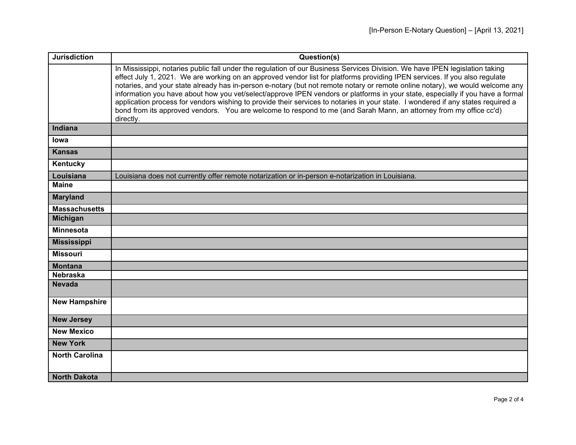| <b>Jurisdiction</b>   | Question(s)                                                                                                                                                                                                                                                                                                                                                                                                                                                                                                                                                                                                                                                                                                                                                                                          |
|-----------------------|------------------------------------------------------------------------------------------------------------------------------------------------------------------------------------------------------------------------------------------------------------------------------------------------------------------------------------------------------------------------------------------------------------------------------------------------------------------------------------------------------------------------------------------------------------------------------------------------------------------------------------------------------------------------------------------------------------------------------------------------------------------------------------------------------|
|                       | In Mississippi, notaries public fall under the regulation of our Business Services Division. We have IPEN legislation taking<br>effect July 1, 2021. We are working on an approved vendor list for platforms providing IPEN services. If you also regulate<br>notaries, and your state already has in-person e-notary (but not remote notary or remote online notary), we would welcome any<br>information you have about how you vet/select/approve IPEN vendors or platforms in your state, especially if you have a formal<br>application process for vendors wishing to provide their services to notaries in your state. I wondered if any states required a<br>bond from its approved vendors. You are welcome to respond to me (and Sarah Mann, an attorney from my office cc'd)<br>directly. |
| Indiana               |                                                                                                                                                                                                                                                                                                                                                                                                                                                                                                                                                                                                                                                                                                                                                                                                      |
| lowa                  |                                                                                                                                                                                                                                                                                                                                                                                                                                                                                                                                                                                                                                                                                                                                                                                                      |
| <b>Kansas</b>         |                                                                                                                                                                                                                                                                                                                                                                                                                                                                                                                                                                                                                                                                                                                                                                                                      |
| Kentucky              |                                                                                                                                                                                                                                                                                                                                                                                                                                                                                                                                                                                                                                                                                                                                                                                                      |
| Louisiana             | Louisiana does not currently offer remote notarization or in-person e-notarization in Louisiana.                                                                                                                                                                                                                                                                                                                                                                                                                                                                                                                                                                                                                                                                                                     |
| <b>Maine</b>          |                                                                                                                                                                                                                                                                                                                                                                                                                                                                                                                                                                                                                                                                                                                                                                                                      |
| <b>Maryland</b>       |                                                                                                                                                                                                                                                                                                                                                                                                                                                                                                                                                                                                                                                                                                                                                                                                      |
| <b>Massachusetts</b>  |                                                                                                                                                                                                                                                                                                                                                                                                                                                                                                                                                                                                                                                                                                                                                                                                      |
| <b>Michigan</b>       |                                                                                                                                                                                                                                                                                                                                                                                                                                                                                                                                                                                                                                                                                                                                                                                                      |
| <b>Minnesota</b>      |                                                                                                                                                                                                                                                                                                                                                                                                                                                                                                                                                                                                                                                                                                                                                                                                      |
| <b>Mississippi</b>    |                                                                                                                                                                                                                                                                                                                                                                                                                                                                                                                                                                                                                                                                                                                                                                                                      |
| <b>Missouri</b>       |                                                                                                                                                                                                                                                                                                                                                                                                                                                                                                                                                                                                                                                                                                                                                                                                      |
| <b>Montana</b>        |                                                                                                                                                                                                                                                                                                                                                                                                                                                                                                                                                                                                                                                                                                                                                                                                      |
| <b>Nebraska</b>       |                                                                                                                                                                                                                                                                                                                                                                                                                                                                                                                                                                                                                                                                                                                                                                                                      |
| <b>Nevada</b>         |                                                                                                                                                                                                                                                                                                                                                                                                                                                                                                                                                                                                                                                                                                                                                                                                      |
| <b>New Hampshire</b>  |                                                                                                                                                                                                                                                                                                                                                                                                                                                                                                                                                                                                                                                                                                                                                                                                      |
| <b>New Jersey</b>     |                                                                                                                                                                                                                                                                                                                                                                                                                                                                                                                                                                                                                                                                                                                                                                                                      |
| <b>New Mexico</b>     |                                                                                                                                                                                                                                                                                                                                                                                                                                                                                                                                                                                                                                                                                                                                                                                                      |
| <b>New York</b>       |                                                                                                                                                                                                                                                                                                                                                                                                                                                                                                                                                                                                                                                                                                                                                                                                      |
| <b>North Carolina</b> |                                                                                                                                                                                                                                                                                                                                                                                                                                                                                                                                                                                                                                                                                                                                                                                                      |
| <b>North Dakota</b>   |                                                                                                                                                                                                                                                                                                                                                                                                                                                                                                                                                                                                                                                                                                                                                                                                      |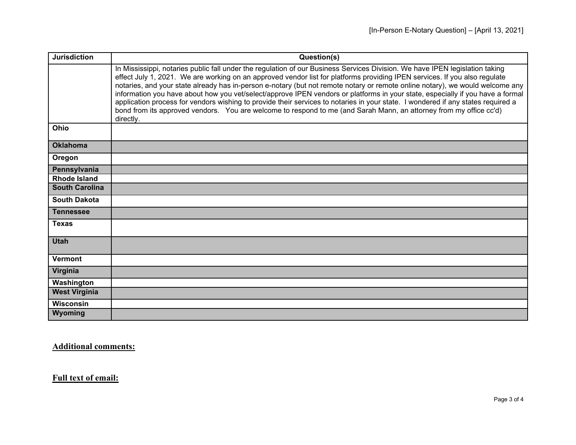| <b>Jurisdiction</b>   | Question(s)                                                                                                                                                                                                                                                                                                                                                                                                                                                                                                                                                                                                                                                                                                                                                                                          |
|-----------------------|------------------------------------------------------------------------------------------------------------------------------------------------------------------------------------------------------------------------------------------------------------------------------------------------------------------------------------------------------------------------------------------------------------------------------------------------------------------------------------------------------------------------------------------------------------------------------------------------------------------------------------------------------------------------------------------------------------------------------------------------------------------------------------------------------|
|                       | In Mississippi, notaries public fall under the regulation of our Business Services Division. We have IPEN legislation taking<br>effect July 1, 2021. We are working on an approved vendor list for platforms providing IPEN services. If you also regulate<br>notaries, and your state already has in-person e-notary (but not remote notary or remote online notary), we would welcome any<br>information you have about how you vet/select/approve IPEN vendors or platforms in your state, especially if you have a formal<br>application process for vendors wishing to provide their services to notaries in your state. I wondered if any states required a<br>bond from its approved vendors. You are welcome to respond to me (and Sarah Mann, an attorney from my office cc'd)<br>directly. |
| Ohio                  |                                                                                                                                                                                                                                                                                                                                                                                                                                                                                                                                                                                                                                                                                                                                                                                                      |
| <b>Oklahoma</b>       |                                                                                                                                                                                                                                                                                                                                                                                                                                                                                                                                                                                                                                                                                                                                                                                                      |
| Oregon                |                                                                                                                                                                                                                                                                                                                                                                                                                                                                                                                                                                                                                                                                                                                                                                                                      |
| Pennsylvania          |                                                                                                                                                                                                                                                                                                                                                                                                                                                                                                                                                                                                                                                                                                                                                                                                      |
| <b>Rhode Island</b>   |                                                                                                                                                                                                                                                                                                                                                                                                                                                                                                                                                                                                                                                                                                                                                                                                      |
| <b>South Carolina</b> |                                                                                                                                                                                                                                                                                                                                                                                                                                                                                                                                                                                                                                                                                                                                                                                                      |
| <b>South Dakota</b>   |                                                                                                                                                                                                                                                                                                                                                                                                                                                                                                                                                                                                                                                                                                                                                                                                      |
| <b>Tennessee</b>      |                                                                                                                                                                                                                                                                                                                                                                                                                                                                                                                                                                                                                                                                                                                                                                                                      |
| <b>Texas</b>          |                                                                                                                                                                                                                                                                                                                                                                                                                                                                                                                                                                                                                                                                                                                                                                                                      |
| <b>Utah</b>           |                                                                                                                                                                                                                                                                                                                                                                                                                                                                                                                                                                                                                                                                                                                                                                                                      |
| <b>Vermont</b>        |                                                                                                                                                                                                                                                                                                                                                                                                                                                                                                                                                                                                                                                                                                                                                                                                      |
| Virginia              |                                                                                                                                                                                                                                                                                                                                                                                                                                                                                                                                                                                                                                                                                                                                                                                                      |
| Washington            |                                                                                                                                                                                                                                                                                                                                                                                                                                                                                                                                                                                                                                                                                                                                                                                                      |
| <b>West Virginia</b>  |                                                                                                                                                                                                                                                                                                                                                                                                                                                                                                                                                                                                                                                                                                                                                                                                      |
| Wisconsin             |                                                                                                                                                                                                                                                                                                                                                                                                                                                                                                                                                                                                                                                                                                                                                                                                      |
| Wyoming               |                                                                                                                                                                                                                                                                                                                                                                                                                                                                                                                                                                                                                                                                                                                                                                                                      |

**Additional comments:**

**Full text of email:**